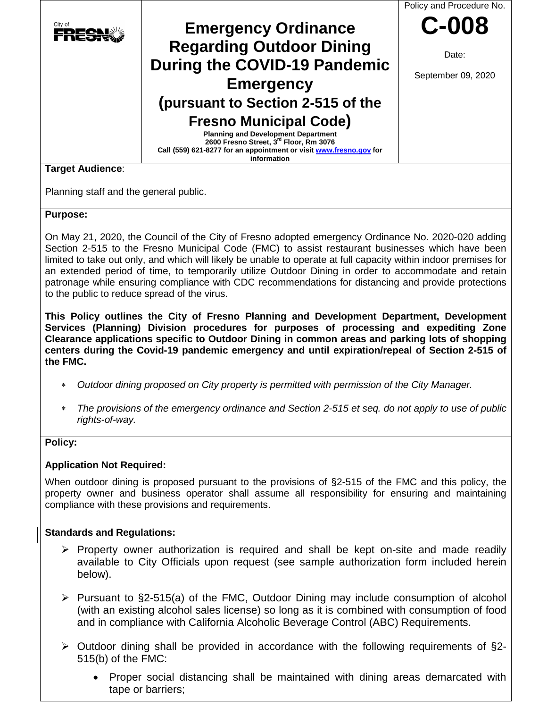

## **Purpose:**

On May 21, 2020, the Council of the City of Fresno adopted emergency Ordinance No. 2020-020 adding Section 2-515 to the Fresno Municipal Code (FMC) to assist restaurant businesses which have been limited to take out only, and which will likely be unable to operate at full capacity within indoor premises for an extended period of time, to temporarily utilize Outdoor Dining in order to accommodate and retain patronage while ensuring compliance with CDC recommendations for distancing and provide protections to the public to reduce spread of the virus.

**This Policy outlines the City of Fresno Planning and Development Department, Development Services (Planning) Division procedures for purposes of processing and expediting Zone Clearance applications specific to Outdoor Dining in common areas and parking lots of shopping centers during the Covid-19 pandemic emergency and until expiration/repeal of Section 2-515 of the FMC.**

- ∗ *Outdoor dining proposed on City property is permitted with permission of the City Manager.*
- *The provisions of the emergency ordinance and Section 2-515 et seq. do not apply to use of public rights-of-way.*

## **Policy:**

## **Application Not Required:**

When outdoor dining is proposed pursuant to the provisions of §2-515 of the FMC and this policy, the property owner and business operator shall assume all responsibility for ensuring and maintaining compliance with these provisions and requirements.

## **Standards and Regulations:**

- $\triangleright$  Property owner authorization is required and shall be kept on-site and made readily available to City Officials upon request (see sample authorization form included herein below).
- $\triangleright$  Pursuant to §2-515(a) of the FMC, Outdoor Dining may include consumption of alcohol (with an existing alcohol sales license) so long as it is combined with consumption of food and in compliance with California Alcoholic Beverage Control (ABC) Requirements.
- $\triangleright$  Outdoor dining shall be provided in accordance with the following requirements of §2-515(b) of the FMC:
	- Proper social distancing shall be maintained with dining areas demarcated with tape or barriers;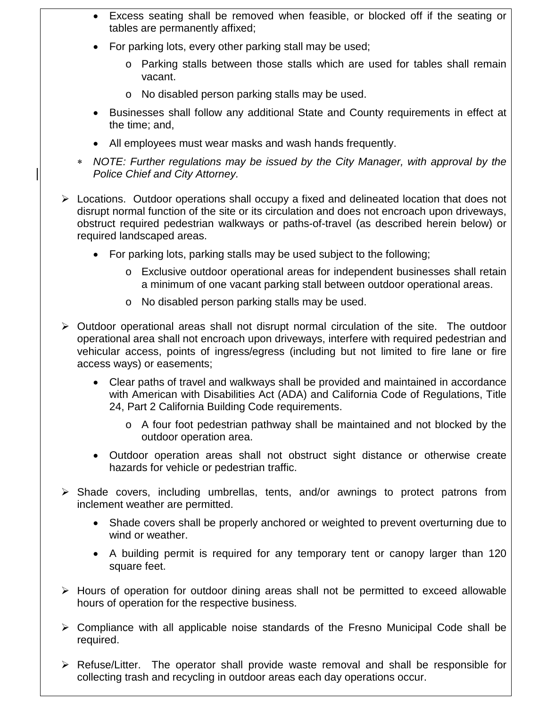- Excess seating shall be removed when feasible, or blocked off if the seating or tables are permanently affixed;
- For parking lots, every other parking stall may be used;
	- o Parking stalls between those stalls which are used for tables shall remain vacant.
	- o No disabled person parking stalls may be used.
- Businesses shall follow any additional State and County requirements in effect at the time; and,
- All employees must wear masks and wash hands frequently.
- ∗ *NOTE: Further regulations may be issued by the City Manager, with approval by the Police Chief and City Attorney.*
- $\triangleright$  Locations. Outdoor operations shall occupy a fixed and delineated location that does not disrupt normal function of the site or its circulation and does not encroach upon driveways, obstruct required pedestrian walkways or paths-of-travel (as described herein below) or required landscaped areas.
	- For parking lots, parking stalls may be used subject to the following;
		- o Exclusive outdoor operational areas for independent businesses shall retain a minimum of one vacant parking stall between outdoor operational areas.
		- o No disabled person parking stalls may be used.
- $\triangleright$  Outdoor operational areas shall not disrupt normal circulation of the site. The outdoor operational area shall not encroach upon driveways, interfere with required pedestrian and vehicular access, points of ingress/egress (including but not limited to fire lane or fire access ways) or easements;
	- Clear paths of travel and walkways shall be provided and maintained in accordance with American with Disabilities Act (ADA) and California Code of Regulations, Title 24, Part 2 California Building Code requirements.
		- o A four foot pedestrian pathway shall be maintained and not blocked by the outdoor operation area.
	- Outdoor operation areas shall not obstruct sight distance or otherwise create hazards for vehicle or pedestrian traffic.
- $\triangleright$  Shade covers, including umbrellas, tents, and/or awnings to protect patrons from inclement weather are permitted.
	- Shade covers shall be properly anchored or weighted to prevent overturning due to wind or weather.
	- A building permit is required for any temporary tent or canopy larger than 120 square feet.
- $\triangleright$  Hours of operation for outdoor dining areas shall not be permitted to exceed allowable hours of operation for the respective business.
- $\triangleright$  Compliance with all applicable noise standards of the Fresno Municipal Code shall be required.
- $\triangleright$  Refuse/Litter. The operator shall provide waste removal and shall be responsible for collecting trash and recycling in outdoor areas each day operations occur.